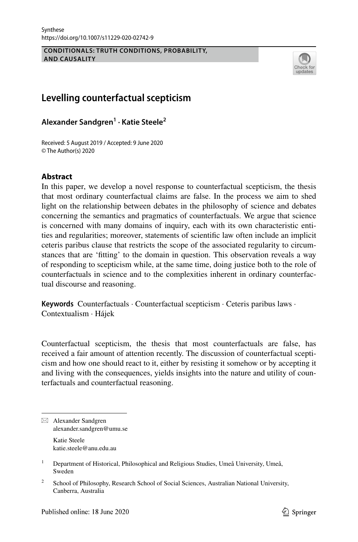#### **CONDITIONALS: TRUTH CONDITIONS, PROBABILITY, AND CAUSALITY**



# **Levelling counterfactual scepticism**

**Alexander Sandgren1 · Katie Steele2**

Received: 5 August 2019 / Accepted: 9 June 2020 © The Author(s) 2020

# **Abstract**

In this paper, we develop a novel response to counterfactual scepticism, the thesis that most ordinary counterfactual claims are false. In the process we aim to shed light on the relationship between debates in the philosophy of science and debates concerning the semantics and pragmatics of counterfactuals. We argue that science is concerned with many domains of inquiry, each with its own characteristic entities and regularities; moreover, statements of scientifc law often include an implicit ceteris paribus clause that restricts the scope of the associated regularity to circumstances that are 'ftting' to the domain in question. This observation reveals a way of responding to scepticism while, at the same time, doing justice both to the role of counterfactuals in science and to the complexities inherent in ordinary counterfactual discourse and reasoning.

**Keywords** Counterfactuals · Counterfactual scepticism · Ceteris paribus laws · Contextualism · Hájek

Counterfactual scepticism, the thesis that most counterfactuals are false, has received a fair amount of attention recently. The discussion of counterfactual scepticism and how one should react to it, either by resisting it somehow or by accepting it and living with the consequences, yields insights into the nature and utility of counterfactuals and counterfactual reasoning.

 $\boxtimes$  Alexander Sandgren alexander.sandgren@umu.se Katie Steele

katie.steele@anu.edu.au

<sup>&</sup>lt;sup>1</sup> Department of Historical, Philosophical and Religious Studies, Umeå University, Umeå, Sweden

<sup>&</sup>lt;sup>2</sup> School of Philosophy, Research School of Social Sciences, Australian National University, Canberra, Australia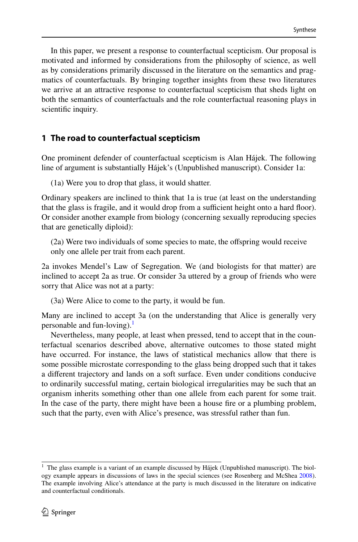In this paper, we present a response to counterfactual scepticism. Our proposal is motivated and informed by considerations from the philosophy of science, as well as by considerations primarily discussed in the literature on the semantics and pragmatics of counterfactuals. By bringing together insights from these two literatures we arrive at an attractive response to counterfactual scepticism that sheds light on both the semantics of counterfactuals and the role counterfactual reasoning plays in scientific inquiry.

# <span id="page-1-1"></span>**1 The road to counterfactual scepticism**

One prominent defender of counterfactual scepticism is Alan Hájek. The following line of argument is substantially Hájek's (Unpublished manuscript). Consider 1a:

(1a) Were you to drop that glass, it would shatter.

Ordinary speakers are inclined to think that 1a is true (at least on the understanding that the glass is fragile, and it would drop from a sufficient height onto a hard floor). Or consider another example from biology (concerning sexually reproducing species that are genetically diploid):

(2a) Were two individuals of some species to mate, the ofspring would receive only one allele per trait from each parent.

2a invokes Mendel's Law of Segregation. We (and biologists for that matter) are inclined to accept 2a as true. Or consider 3a uttered by a group of friends who were sorry that Alice was not at a party:

(3a) Were Alice to come to the party, it would be fun.

Many are inclined to accept 3a (on the understanding that Alice is generally very personable and fun-loving). $<sup>1</sup>$  $<sup>1</sup>$  $<sup>1</sup>$ </sup>

Nevertheless, many people, at least when pressed, tend to accept that in the counterfactual scenarios described above, alternative outcomes to those stated might have occurred. For instance, the laws of statistical mechanics allow that there is some possible microstate corresponding to the glass being dropped such that it takes a diferent trajectory and lands on a soft surface. Even under conditions conducive to ordinarily successful mating, certain biological irregularities may be such that an organism inherits something other than one allele from each parent for some trait. In the case of the party, there might have been a house fre or a plumbing problem, such that the party, even with Alice's presence, was stressful rather than fun.

<span id="page-1-0"></span> $1$  The glass example is a variant of an example discussed by Hájek (Unpublished manuscript). The biology example appears in discussions of laws in the special sciences (see Rosenberg and McShea [2008\)](#page-20-0). The example involving Alice's attendance at the party is much discussed in the literature on indicative and counterfactual conditionals.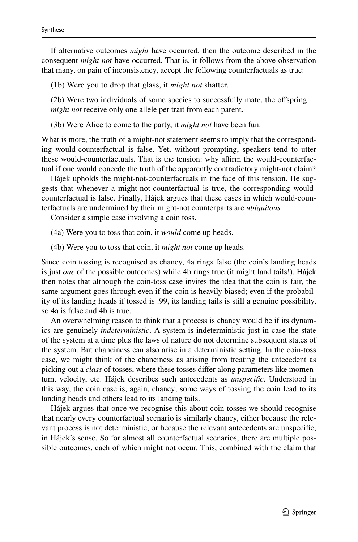If alternative outcomes *might* have occurred, then the outcome described in the consequent *might not* have occurred. That is, it follows from the above observation that many, on pain of inconsistency, accept the following counterfactuals as true:

(1b) Were you to drop that glass, it *might not* shatter.

(2b) Were two individuals of some species to successfully mate, the ofspring *might not* receive only one allele per trait from each parent.

(3b) Were Alice to come to the party, it *might not* have been fun.

What is more, the truth of a might-not statement seems to imply that the corresponding would-counterfactual is false. Yet, without prompting, speakers tend to utter these would-counterfactuals. That is the tension: why affirm the would-counterfactual if one would concede the truth of the apparently contradictory might-not claim?

Hájek upholds the might-not-counterfactuals in the face of this tension. He suggests that whenever a might-not-counterfactual is true, the corresponding wouldcounterfactual is false. Finally, Hájek argues that these cases in which would-counterfactuals are undermined by their might-not counterparts are *ubiquitous.*

Consider a simple case involving a coin toss.

(4a) Were you to toss that coin, it *would* come up heads.

(4b) Were you to toss that coin, it *might not* come up heads.

Since coin tossing is recognised as chancy, 4a rings false (the coin's landing heads is just *one* of the possible outcomes) while 4b rings true (it might land tails!). Hájek then notes that although the coin-toss case invites the idea that the coin is fair, the same argument goes through even if the coin is heavily biased; even if the probability of its landing heads if tossed is .99, its landing tails is still a genuine possibility, so 4a is false and 4b is true.

An overwhelming reason to think that a process is chancy would be if its dynamics are genuinely *indeterministic*. A system is indeterministic just in case the state of the system at a time plus the laws of nature do not determine subsequent states of the system. But chanciness can also arise in a deterministic setting. In the coin-toss case, we might think of the chanciness as arising from treating the antecedent as picking out a *class* of tosses, where these tosses difer along parameters like momentum, velocity, etc. Hájek describes such antecedents as *unspecifc*. Understood in this way, the coin case is, again, chancy; some ways of tossing the coin lead to its landing heads and others lead to its landing tails.

Hájek argues that once we recognise this about coin tosses we should recognise that nearly every counterfactual scenario is similarly chancy, either because the relevant process is not deterministic, or because the relevant antecedents are unspecifc, in Hájek's sense. So for almost all counterfactual scenarios, there are multiple possible outcomes, each of which might not occur. This, combined with the claim that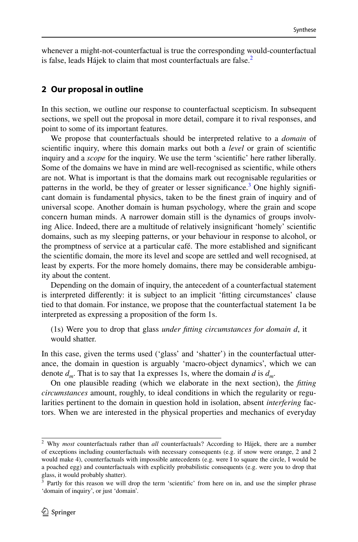whenever a might-not-counterfactual is true the corresponding would-counterfactual is false, leads Hájek to claim that most counterfactuals are false. $<sup>2</sup>$ </sup>

### **2 Our proposal in outline**

In this section, we outline our response to counterfactual scepticism. In subsequent sections, we spell out the proposal in more detail, compare it to rival responses, and point to some of its important features.

We propose that counterfactuals should be interpreted relative to a *domain* of scientifc inquiry, where this domain marks out both a *level* or grain of scientifc inquiry and a *scope* for the inquiry. We use the term 'scientifc' here rather liberally. Some of the domains we have in mind are well-recognised as scientifc, while others are not. What is important is that the domains mark out recognisable regularities or patterns in the world, be they of greater or lesser significance.<sup>[3](#page-3-1)</sup> One highly significant domain is fundamental physics, taken to be the fnest grain of inquiry and of universal scope. Another domain is human psychology, where the grain and scope concern human minds. A narrower domain still is the dynamics of groups involving Alice. Indeed, there are a multitude of relatively insignifcant 'homely' scientifc domains, such as my sleeping patterns, or your behaviour in response to alcohol, or the promptness of service at a particular café. The more established and signifcant the scientifc domain, the more its level and scope are settled and well recognised, at least by experts. For the more homely domains, there may be considerable ambiguity about the content.

Depending on the domain of inquiry, the antecedent of a counterfactual statement is interpreted diferently: it is subject to an implicit 'ftting circumstances' clause tied to that domain. For instance, we propose that the counterfactual statement 1a be interpreted as expressing a proposition of the form 1s.

(1s) Were you to drop that glass *under ftting circumstances for domain d*, it would shatter.

In this case, given the terms used ('glass' and 'shatter') in the counterfactual utterance, the domain in question is arguably 'macro-object dynamics', which we can denote *dm*. That is to say that 1a expresses 1s, where the domain *d* is *dm*.

On one plausible reading (which we elaborate in the next section), the *ftting circumstances* amount, roughly, to ideal conditions in which the regularity or regularities pertinent to the domain in question hold in isolation, absent *interfering* factors. When we are interested in the physical properties and mechanics of everyday

<span id="page-3-0"></span><sup>2</sup> Why *most* counterfactuals rather than *all* counterfactuals? According to Hájek, there are a number of exceptions including counterfactuals with necessary consequents (e.g. if snow were orange, 2 and 2 would make 4), counterfactuals with impossible antecedents (e.g. were I to square the circle, I would be a poached egg) and counterfactuals with explicitly probabilistic consequents (e.g. were you to drop that glass, it would probably shatter).

<span id="page-3-1"></span><sup>&</sup>lt;sup>3</sup> Partly for this reason we will drop the term 'scientific' from here on in, and use the simpler phrase 'domain of inquiry', or just 'domain'.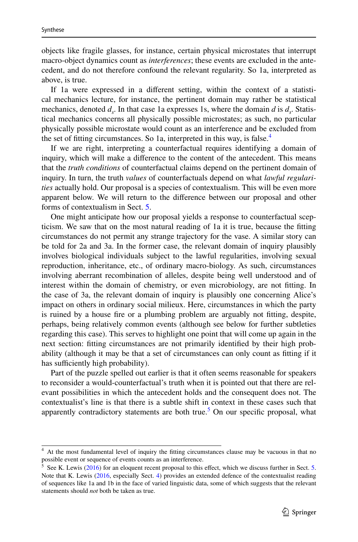objects like fragile glasses, for instance, certain physical microstates that interrupt macro-object dynamics count as *interferences*; these events are excluded in the antecedent, and do not therefore confound the relevant regularity. So 1a, interpreted as above, is true.

If 1a were expressed in a diferent setting, within the context of a statistical mechanics lecture, for instance, the pertinent domain may rather be statistical mechanics, denoted  $d_c$ . In that case 1a expresses 1s, where the domain  $d$  is  $d_c$ . Statistical mechanics concerns all physically possible microstates; as such, no particular physically possible microstate would count as an interference and be excluded from the set of fitting circumstances. So 1a, interpreted in this way, is false.<sup>[4](#page-4-0)</sup>

If we are right, interpreting a counterfactual requires identifying a domain of inquiry, which will make a diference to the content of the antecedent. This means that the *truth conditions* of counterfactual claims depend on the pertinent domain of inquiry. In turn, the truth *values* of counterfactuals depend on what *lawful regularities* actually hold. Our proposal is a species of contextualism. This will be even more apparent below. We will return to the diference between our proposal and other forms of contextualism in Sect. [5](#page-15-0).

One might anticipate how our proposal yields a response to counterfactual scepticism. We saw that on the most natural reading of 1a it is true, because the ftting circumstances do not permit any strange trajectory for the vase. A similar story can be told for 2a and 3a. In the former case, the relevant domain of inquiry plausibly involves biological individuals subject to the lawful regularities, involving sexual reproduction, inheritance, etc., of ordinary macro-biology. As such, circumstances involving aberrant recombination of alleles, despite being well understood and of interest within the domain of chemistry, or even microbiology, are not ftting. In the case of 3a, the relevant domain of inquiry is plausibly one concerning Alice's impact on others in ordinary social milieux. Here, circumstances in which the party is ruined by a house fre or a plumbing problem are arguably not ftting, despite, perhaps, being relatively common events (although see below for further subtleties regarding this case). This serves to highlight one point that will come up again in the next section: ftting circumstances are not primarily identifed by their high probability (although it may be that a set of circumstances can only count as ftting if it has sufficiently high probability).

Part of the puzzle spelled out earlier is that it often seems reasonable for speakers to reconsider a would-counterfactual's truth when it is pointed out that there are relevant possibilities in which the antecedent holds and the consequent does not. The contextualist's line is that there is a subtle shift in context in these cases such that apparently contradictory statements are both true.<sup>[5](#page-4-1)</sup> On our specific proposal, what

<span id="page-4-0"></span><sup>&</sup>lt;sup>4</sup> At the most fundamental level of inquiry the fitting circumstances clause may be vacuous in that no possible event or sequence of events counts as an interference.

<span id="page-4-1"></span> $<sup>5</sup>$  See K. Lewis ([2016\)](#page-20-1) for an eloquent recent proposal to this effect, which we discuss further in Sect. [5](#page-15-0).</sup> Note that K. Lewis ([2016,](#page-20-1) especially Sect. [4\)](#page-12-0) provides an extended defence of the contextualist reading of sequences like 1a and 1b in the face of varied linguistic data, some of which suggests that the relevant statements should *not* both be taken as true.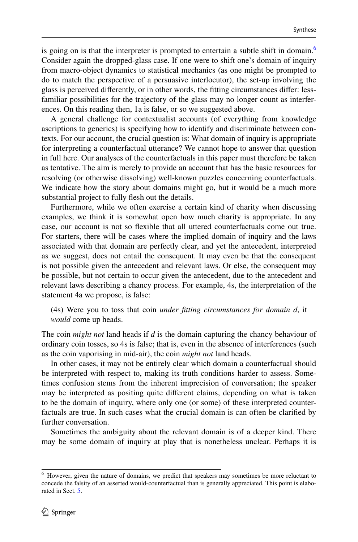is going on is that the interpreter is prompted to entertain a subtle shift in domain.<sup>[6](#page-5-0)</sup> Consider again the dropped-glass case. If one were to shift one's domain of inquiry from macro-object dynamics to statistical mechanics (as one might be prompted to do to match the perspective of a persuasive interlocutor), the set-up involving the glass is perceived diferently, or in other words, the ftting circumstances difer: lessfamiliar possibilities for the trajectory of the glass may no longer count as interferences. On this reading then, 1a is false, or so we suggested above.

A general challenge for contextualist accounts (of everything from knowledge ascriptions to generics) is specifying how to identify and discriminate between contexts. For our account, the crucial question is: What domain of inquiry is appropriate for interpreting a counterfactual utterance? We cannot hope to answer that question in full here. Our analyses of the counterfactuals in this paper must therefore be taken as tentative. The aim is merely to provide an account that has the basic resources for resolving (or otherwise dissolving) well-known puzzles concerning counterfactuals. We indicate how the story about domains might go, but it would be a much more substantial project to fully fesh out the details.

Furthermore, while we often exercise a certain kind of charity when discussing examples, we think it is somewhat open how much charity is appropriate. In any case, our account is not so fexible that all uttered counterfactuals come out true. For starters, there will be cases where the implied domain of inquiry and the laws associated with that domain are perfectly clear, and yet the antecedent, interpreted as we suggest, does not entail the consequent. It may even be that the consequent is not possible given the antecedent and relevant laws. Or else, the consequent may be possible, but not certain to occur given the antecedent, due to the antecedent and relevant laws describing a chancy process. For example, 4s, the interpretation of the statement 4a we propose, is false:

(4s) Were you to toss that coin *under ftting circumstances for domain d*, it *would* come up heads.

The coin *might not* land heads if *d* is the domain capturing the chancy behaviour of ordinary coin tosses, so 4s is false; that is, even in the absence of interferences (such as the coin vaporising in mid-air), the coin *might not* land heads.

In other cases, it may not be entirely clear which domain a counterfactual should be interpreted with respect to, making its truth conditions harder to assess. Sometimes confusion stems from the inherent imprecision of conversation; the speaker may be interpreted as positing quite diferent claims, depending on what is taken to be the domain of inquiry, where only one (or some) of these interpreted counterfactuals are true. In such cases what the crucial domain is can often be clarifed by further conversation.

Sometimes the ambiguity about the relevant domain is of a deeper kind. There may be some domain of inquiry at play that is nonetheless unclear. Perhaps it is

<span id="page-5-0"></span><sup>6</sup> However, given the nature of domains, we predict that speakers may sometimes be more reluctant to concede the falsity of an asserted would-counterfactual than is generally appreciated. This point is elaborated in Sect. [5.](#page-15-0)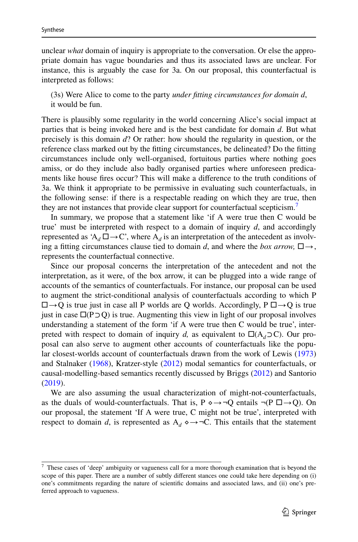unclear *what* domain of inquiry is appropriate to the conversation. Or else the appropriate domain has vague boundaries and thus its associated laws are unclear. For instance, this is arguably the case for 3a. On our proposal, this counterfactual is interpreted as follows:

(3s) Were Alice to come to the party *under ftting circumstances for domain d*, it would be fun.

There is plausibly some regularity in the world concerning Alice's social impact at parties that is being invoked here and is the best candidate for domain *d*. But what precisely is this domain *d*? Or rather: how should the regularity in question, or the reference class marked out by the ftting circumstances, be delineated? Do the ftting circumstances include only well-organised, fortuitous parties where nothing goes amiss, or do they include also badly organised parties where unforeseen predicaments like house fres occur? This will make a diference to the truth conditions of 3a. We think it appropriate to be permissive in evaluating such counterfactuals, in the following sense: if there is a respectable reading on which they are true, then they are not instances that provide clear support for counterfactual scepticism.<sup>[7](#page-6-0)</sup>

In summary, we propose that a statement like 'if A were true then C would be true' must be interpreted with respect to a domain of inquiry *d*, and accordingly represented as 'A<sub>d</sub>  $\square \rightarrow \mathbb{C}$ ', where A<sub>d</sub> is an interpretation of the antecedent as involving a fitting circumstances clause tied to domain *d*, and where the *box arrow*,  $\square \rightarrow$ , represents the counterfactual connective.

Since our proposal concerns the interpretation of the antecedent and not the interpretation, as it were, of the box arrow, it can be plugged into a wide range of accounts of the semantics of counterfactuals. For instance, our proposal can be used to augment the strict-conditional analysis of counterfactuals according to which P  $\Box \rightarrow Q$  is true just in case all P worlds are Q worlds. Accordingly, P  $\Box \rightarrow Q$  is true just in case  $\Box$ (P $\Box$ Q) is true. Augmenting this view in light of our proposal involves understanding a statement of the form 'if A were true then C would be true', interpreted with respect to domain of inquiry *d*, as equivalent to  $\Box(A_d \Box C)$ . Our proposal can also serve to augment other accounts of counterfactuals like the popular closest-worlds account of counterfactuals drawn from the work of Lewis [\(1973](#page-20-2)) and Stalnaker [\(1968](#page-20-3)), Kratzer-style ([2012\)](#page-20-4) modal semantics for counterfactuals, or causal-modelling-based semantics recently discussed by Briggs [\(2012](#page-19-0)) and Santorio [\(2019](#page-20-5)).

We are also assuming the usual characterization of might-not-counterfactuals, as the duals of would-counterfactuals. That is, P  $\diamond \rightarrow \neg Q$  entails  $\neg (P \Box \rightarrow Q)$ . On our proposal, the statement 'If A were true, C might not be true', interpreted with respect to domain *d*, is represented as  $A_d \diamond \rightarrow \neg C$ . This entails that the statement

<span id="page-6-0"></span> $7$  These cases of 'deep' ambiguity or vagueness call for a more thorough examination that is beyond the scope of this paper. There are a number of subtly diferent stances one could take here depending on (i) one's commitments regarding the nature of scientifc domains and associated laws, and (ii) one's preferred approach to vagueness.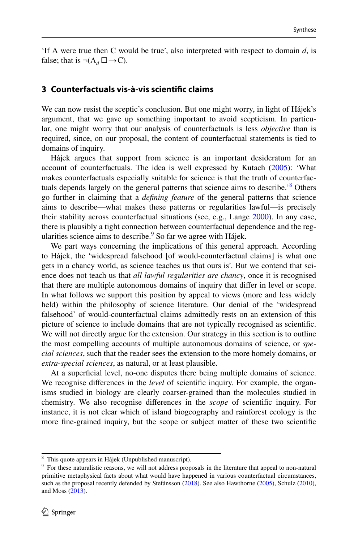'If A were true then C would be true', also interpreted with respect to domain *d*, is false; that is  $\neg(A_d \Box \rightarrow C)$ .

### **3 Counterfactuals vis‑à‑vis scientifc claims**

We can now resist the sceptic's conclusion. But one might worry, in light of Hájek's argument, that we gave up something important to avoid scepticism. In particular, one might worry that our analysis of counterfactuals is less *objective* than is required, since, on our proposal, the content of counterfactual statements is tied to domains of inquiry.

Hájek argues that support from science is an important desideratum for an account of counterfactuals. The idea is well expressed by Kutach [\(2005](#page-20-6)): 'What makes counterfactuals especially suitable for science is that the truth of counterfactuals depends largely on the general patterns that science aims to describe.<sup>8</sup> Others go further in claiming that a *defning feature* of the general patterns that science aims to describe—what makes these patterns or regularities lawful—is precisely their stability across counterfactual situations (see, e.g., Lange [2000\)](#page-20-7). In any case, there is plausibly a tight connection between counterfactual dependence and the reg-ularities science aims to describe.<sup>[9](#page-7-1)</sup> So far we agree with Hájek.

We part ways concerning the implications of this general approach. According to Hájek, the 'widespread falsehood [of would-counterfactual claims] is what one gets in a chancy world, as science teaches us that ours is'. But we contend that science does not teach us that *all lawful regularities are chancy*, once it is recognised that there are multiple autonomous domains of inquiry that difer in level or scope. In what follows we support this position by appeal to views (more and less widely held) within the philosophy of science literature. Our denial of the 'widespread falsehood' of would-counterfactual claims admittedly rests on an extension of this picture of science to include domains that are not typically recognised as scientifc. We will not directly argue for the extension. Our strategy in this section is to outline the most compelling accounts of multiple autonomous domains of science, or *special sciences*, such that the reader sees the extension to the more homely domains, or *extra*-*special sciences*, as natural, or at least plausible.

At a superfcial level, no-one disputes there being multiple domains of science. We recognise diferences in the *level* of scientifc inquiry. For example, the organisms studied in biology are clearly coarser-grained than the molecules studied in chemistry. We also recognise diferences in the *scope* of scientifc inquiry. For instance, it is not clear which of island biogeography and rainforest ecology is the more fne-grained inquiry, but the scope or subject matter of these two scientifc

<span id="page-7-0"></span><sup>8</sup> This quote appears in Hájek (Unpublished manuscript).

<span id="page-7-1"></span><sup>&</sup>lt;sup>9</sup> For these naturalistic reasons, we will not address proposals in the literature that appeal to non-natural primitive metaphysical facts about what would have happened in various counterfactual circumstances, such as the proposal recently defended by Stefánsson [\(2018](#page-20-8)). See also Hawthorne [\(2005](#page-19-1)), Schulz ([2010\)](#page-20-9), and Moss ([2013\)](#page-20-10).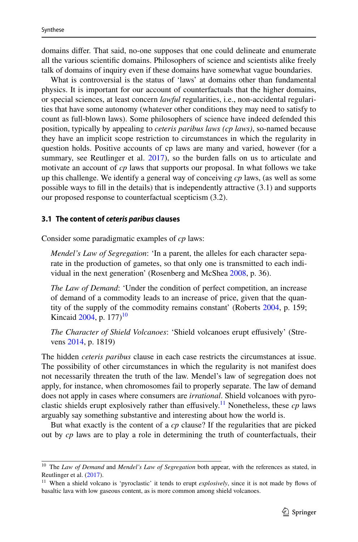domains difer. That said, no-one supposes that one could delineate and enumerate all the various scientifc domains. Philosophers of science and scientists alike freely talk of domains of inquiry even if these domains have somewhat vague boundaries.

What is controversial is the status of 'laws' at domains other than fundamental physics. It is important for our account of counterfactuals that the higher domains, or special sciences, at least concern *lawful* regularities, i.e., non-accidental regularities that have some autonomy (whatever other conditions they may need to satisfy to count as full-blown laws). Some philosophers of science have indeed defended this position, typically by appealing to *ceteris paribus laws (cp laws)*, so-named because they have an implicit scope restriction to circumstances in which the regularity in question holds. Positive accounts of cp laws are many and varied, however (for a summary, see Reutlinger et al.  $2017$ ), so the burden falls on us to articulate and motivate an account of *cp* laws that supports our proposal. In what follows we take up this challenge. We identify a general way of conceiving *cp* laws, (as well as some possible ways to fll in the details) that is independently attractive (3.1) and supports our proposed response to counterfactual scepticism (3.2).

#### **3.1 The content of** *ceteris paribus* **clauses**

Consider some paradigmatic examples of *cp* laws:

*Mendel's Law of Segregation*: 'In a parent, the alleles for each character separate in the production of gametes, so that only one is transmitted to each individual in the next generation' (Rosenberg and McShea [2008](#page-20-0), p. 36).

*The Law of Demand*: 'Under the condition of perfect competition, an increase of demand of a commodity leads to an increase of price, given that the quantity of the supply of the commodity remains constant' (Roberts [2004,](#page-20-12) p. 159; Kincaid [2004,](#page-20-13) p.  $177$ <sup>[10](#page-8-0)</sup>

*The Character of Shield Volcanoes*: 'Shield volcanoes erupt efusively' (Strevens [2014,](#page-20-14) p. 1819)

The hidden *ceteris paribus* clause in each case restricts the circumstances at issue. The possibility of other circumstances in which the regularity is not manifest does not necessarily threaten the truth of the law. Mendel's law of segregation does not apply, for instance, when chromosomes fail to properly separate. The law of demand does not apply in cases where consumers are *irrational*. Shield volcanoes with pyro-clastic shields erupt explosively rather than effusively.<sup>[11](#page-8-1)</sup> Nonetheless, these  $cp$  laws arguably say something substantive and interesting about how the world is.

But what exactly is the content of a *cp* clause? If the regularities that are picked out by *cp* laws are to play a role in determining the truth of counterfactuals, their

<span id="page-8-0"></span><sup>10</sup> The *Law of Demand* and *Mendel's Law of Segregation* both appear, with the references as stated, in Reutlinger et al. ([2017\)](#page-20-11).

<span id="page-8-1"></span><sup>&</sup>lt;sup>11</sup> When a shield volcano is 'pyroclastic' it tends to erupt *explosively*, since it is not made by flows of basaltic lava with low gaseous content, as is more common among shield volcanoes.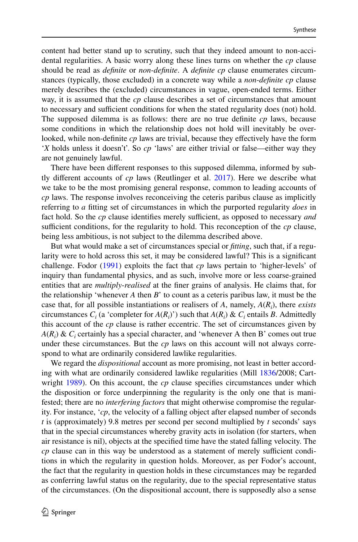content had better stand up to scrutiny, such that they indeed amount to non-accidental regularities. A basic worry along these lines turns on whether the *cp* clause should be read as *defnite* or *non*-*defnite*. A *defnite cp* clause enumerates circumstances (typically, those excluded) in a concrete way while a *non*-*defnite cp* clause merely describes the (excluded) circumstances in vague, open-ended terms. Either way, it is assumed that the *cp* clause describes a set of circumstances that amount to necessary and sufficient conditions for when the stated regularity does (not) hold. The supposed dilemma is as follows: there are no true defnite *cp* laws, because some conditions in which the relationship does not hold will inevitably be overlooked, while non-definite *cp* laws are trivial, because they effectively have the form '*X* holds unless it doesn't'. So *cp* 'laws' are either trivial or false—either way they are not genuinely lawful.

There have been diferent responses to this supposed dilemma, informed by subtly diferent accounts of *cp* laws (Reutlinger et al. [2017](#page-20-11)). Here we describe what we take to be the most promising general response, common to leading accounts of *cp* laws. The response involves reconceiving the ceteris paribus clause as implicitly referring to *a* ftting set of circumstances in which the purported regularity *does* in fact hold. So the *cp* clause identifies merely sufficient, as opposed to necessary *and* sufficient conditions, for the regularity to hold. This reconception of the  $cp$  clause, being less ambitious, is not subject to the dilemma described above.

But what would make a set of circumstances special or *ftting*, such that, if a regularity were to hold across this set, it may be considered lawful? This is a signifcant challenge. Fodor ([1991\)](#page-19-2) exploits the fact that *cp* laws pertain to 'higher-levels' of inquiry than fundamental physics, and as such, involve more or less coarse-grained entities that are *multiply*-*realised* at the fner grains of analysis. He claims that, for the relationship 'whenever *A* then *B*' to count as a ceteris paribus law, it must be the case that, for all possible instantiations or realisers of *A*, namely, *A*(*Ri* ), there *exists* circumstances  $C_i$  (a 'completer for  $A(R_i)$ ') such that  $A(R_i)$  &  $C_i$  entails *B*. Admittedly this account of the *cp* clause is rather eccentric. The set of circumstances given by  $A(R_i)$  &  $C_i$  certainly has a special character, and 'whenever A then B' comes out true under these circumstances. But the *cp* laws on this account will not always correspond to what are ordinarily considered lawlike regularities.

We regard the *dispositional* account as more promising, not least in better according with what are ordinarily considered lawlike regularities (Mill [1836/](#page-20-15)2008; Cartwright [1989\)](#page-19-3). On this account, the *cp* clause specifes circumstances under which the disposition or force underpinning the regularity is the only one that is manifested; there are no *interfering factors* that might otherwise compromise the regularity. For instance, '*cp*, the velocity of a falling object after elapsed number of seconds *t* is (approximately) 9.8 metres per second per second multiplied by *t* seconds' says that in the special circumstances whereby gravity acts in isolation (for starters, when air resistance is nil), objects at the specifed time have the stated falling velocity. The *cp* clause can in this way be understood as a statement of merely sufficient conditions in which the regularity in question holds. Moreover, as per Fodor's account, the fact that the regularity in question holds in these circumstances may be regarded as conferring lawful status on the regularity, due to the special representative status of the circumstances. (On the dispositional account, there is supposedly also a sense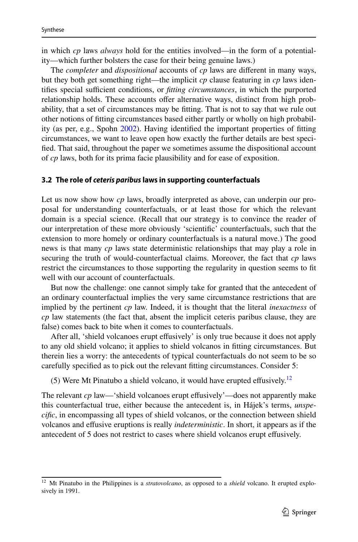in which *cp* laws *always* hold for the entities involved—in the form of a potentiality—which further bolsters the case for their being genuine laws.)

The *completer* and *dispositional* accounts of *cp* laws are diferent in many ways, but they both get something right—the implicit *cp* clause featuring in *cp* laws identifies special sufficient conditions, or *fitting circumstances*, in which the purported relationship holds. These accounts ofer alternative ways, distinct from high probability, that a set of circumstances may be ftting. That is not to say that we rule out other notions of ftting circumstances based either partly or wholly on high probability (as per, e.g., Spohn [2002\)](#page-20-16). Having identifed the important properties of ftting circumstances, we want to leave open how exactly the further details are best specifed. That said, throughout the paper we sometimes assume the dispositional account of *cp* laws, both for its prima facie plausibility and for ease of exposition.

#### **3.2 The role of** *ceteris paribus* **laws in supporting counterfactuals**

Let us now show how *cp* laws, broadly interpreted as above, can underpin our proposal for understanding counterfactuals, or at least those for which the relevant domain is a special science. (Recall that our strategy is to convince the reader of our interpretation of these more obviously 'scientifc' counterfactuals, such that the extension to more homely or ordinary counterfactuals is a natural move.) The good news is that many *cp* laws state deterministic relationships that may play a role in securing the truth of would-counterfactual claims. Moreover, the fact that *cp* laws restrict the circumstances to those supporting the regularity in question seems to ft well with our account of counterfactuals.

But now the challenge: one cannot simply take for granted that the antecedent of an ordinary counterfactual implies the very same circumstance restrictions that are implied by the pertinent *cp* law. Indeed, it is thought that the literal *inexactness* of *cp* law statements (the fact that, absent the implicit ceteris paribus clause, they are false) comes back to bite when it comes to counterfactuals.

After all, 'shield volcanoes erupt efusively' is only true because it does not apply to any old shield volcano; it applies to shield volcanos in ftting circumstances. But therein lies a worry: the antecedents of typical counterfactuals do not seem to be so carefully specifed as to pick out the relevant ftting circumstances. Consider 5:

(5) Were Mt Pinatubo a shield volcano, it would have erupted effusively.<sup>[12](#page-10-0)</sup>

The relevant *cp* law—'shield volcanoes erupt efusively'—does not apparently make this counterfactual true, either because the antecedent is, in Hájek's terms, *unspecifc*, in encompassing all types of shield volcanos, or the connection between shield volcanos and efusive eruptions is really *indeterministic*. In short, it appears as if the antecedent of 5 does not restrict to cases where shield volcanos erupt efusively.

<span id="page-10-0"></span><sup>&</sup>lt;sup>12</sup> Mt Pinatubo in the Philippines is a *stratovolcano*, as opposed to a *shield* volcano. It erupted explosively in 1991.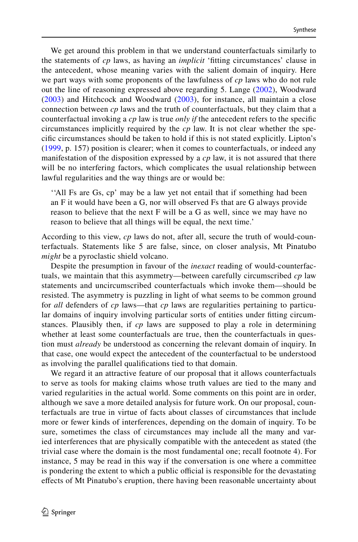We get around this problem in that we understand counterfactuals similarly to the statements of *cp* laws, as having an *implicit* 'ftting circumstances' clause in the antecedent, whose meaning varies with the salient domain of inquiry. Here we part ways with some proponents of the lawfulness of *cp* laws who do not rule out the line of reasoning expressed above regarding 5. Lange ([2002\)](#page-20-17), Woodward [\(2003](#page-20-18)) and Hitchcock and Woodward ([2003](#page-20-19)), for instance, all maintain a close connection between *cp* laws and the truth of counterfactuals, but they claim that a counterfactual invoking a *cp* law is true *only if* the antecedent refers to the specifc circumstances implicitly required by the *cp* law. It is not clear whether the specifc circumstances should be taken to hold if this is not stated explicitly. Lipton's [\(1999](#page-20-20), p. 157) position is clearer; when it comes to counterfactuals, or indeed any manifestation of the disposition expressed by a *cp* law, it is not assured that there will be no interfering factors, which complicates the usual relationship between lawful regularities and the way things are or would be:

''All Fs are Gs, cp' may be a law yet not entail that if something had been an F it would have been a G, nor will observed Fs that are G always provide reason to believe that the next F will be a G as well, since we may have no reason to believe that all things will be equal, the next time.'

According to this view, *cp* laws do not, after all, secure the truth of would-counterfactuals. Statements like 5 are false, since, on closer analysis, Mt Pinatubo *might* be a pyroclastic shield volcano.

Despite the presumption in favour of the *inexact* reading of would-counterfactuals, we maintain that this asymmetry—between carefully circumscribed *cp* law statements and uncircumscribed counterfactuals which invoke them—should be resisted. The asymmetry is puzzling in light of what seems to be common ground for *all* defenders of *cp* laws—that *cp* laws are regularities pertaining to particular domains of inquiry involving particular sorts of entities under ftting circumstances. Plausibly then, if *cp* laws are supposed to play a role in determining whether at least some counterfactuals are true, then the counterfactuals in question must *already* be understood as concerning the relevant domain of inquiry. In that case, one would expect the antecedent of the counterfactual to be understood as involving the parallel qualifcations tied to that domain.

We regard it an attractive feature of our proposal that it allows counterfactuals to serve as tools for making claims whose truth values are tied to the many and varied regularities in the actual world. Some comments on this point are in order, although we save a more detailed analysis for future work. On our proposal, counterfactuals are true in virtue of facts about classes of circumstances that include more or fewer kinds of interferences, depending on the domain of inquiry. To be sure, sometimes the class of circumstances may include all the many and varied interferences that are physically compatible with the antecedent as stated (the trivial case where the domain is the most fundamental one; recall footnote 4). For instance, 5 may be read in this way if the conversation is one where a committee is pondering the extent to which a public official is responsible for the devastating efects of Mt Pinatubo's eruption, there having been reasonable uncertainty about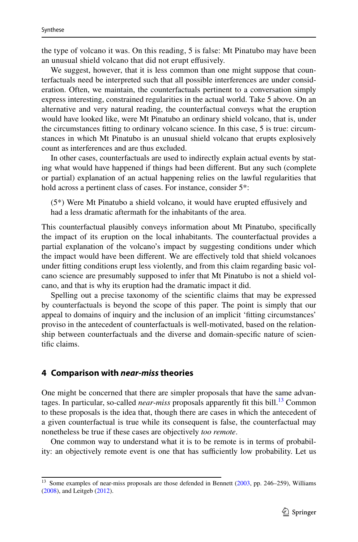the type of volcano it was. On this reading, 5 is false: Mt Pinatubo may have been an unusual shield volcano that did not erupt efusively.

We suggest, however, that it is less common than one might suppose that counterfactuals need be interpreted such that all possible interferences are under consideration. Often, we maintain, the counterfactuals pertinent to a conversation simply express interesting, constrained regularities in the actual world. Take 5 above. On an alternative and very natural reading, the counterfactual conveys what the eruption would have looked like, were Mt Pinatubo an ordinary shield volcano, that is, under the circumstances ftting to ordinary volcano science. In this case, 5 is true: circumstances in which Mt Pinatubo is an unusual shield volcano that erupts explosively count as interferences and are thus excluded.

In other cases, counterfactuals are used to indirectly explain actual events by stating what would have happened if things had been diferent. But any such (complete or partial) explanation of an actual happening relies on the lawful regularities that hold across a pertinent class of cases. For instance, consider  $5^*$ :

(5\*) Were Mt Pinatubo a shield volcano, it would have erupted efusively and had a less dramatic aftermath for the inhabitants of the area.

This counterfactual plausibly conveys information about Mt Pinatubo, specifcally the impact of its eruption on the local inhabitants. The counterfactual provides a partial explanation of the volcano's impact by suggesting conditions under which the impact would have been diferent. We are efectively told that shield volcanoes under ftting conditions erupt less violently, and from this claim regarding basic volcano science are presumably supposed to infer that Mt Pinatubo is not a shield volcano, and that is why its eruption had the dramatic impact it did.

Spelling out a precise taxonomy of the scientifc claims that may be expressed by counterfactuals is beyond the scope of this paper. The point is simply that our appeal to domains of inquiry and the inclusion of an implicit 'ftting circumstances' proviso in the antecedent of counterfactuals is well-motivated, based on the relationship between counterfactuals and the diverse and domain-specifc nature of scientifc claims.

# <span id="page-12-0"></span>**4 Comparison with** *near***‑***miss* **theories**

One might be concerned that there are simpler proposals that have the same advantages. In particular, so-called *near-miss* proposals apparently fit this bill.<sup>13</sup> Common to these proposals is the idea that, though there are cases in which the antecedent of a given counterfactual is true while its consequent is false, the counterfactual may nonetheless be true if these cases are objectively *too remote*.

One common way to understand what it is to be remote is in terms of probability: an objectively remote event is one that has sufficiently low probability. Let us

<span id="page-12-1"></span><sup>&</sup>lt;sup>13</sup> Some examples of near-miss proposals are those defended in Bennett [\(2003](#page-19-4), pp. 246–259), Williams ([2008\)](#page-20-21), and Leitgeb ([2012\)](#page-20-22).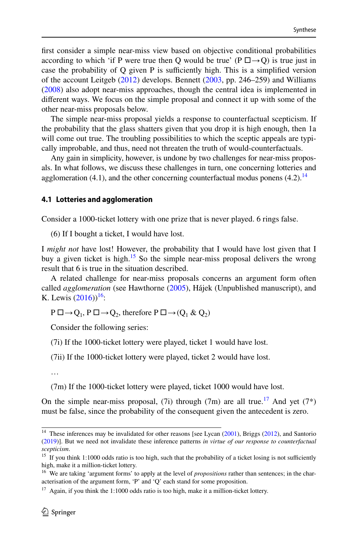frst consider a simple near-miss view based on objective conditional probabilities according to which 'if P were true then Q would be true' (P  $\square \rightarrow Q$ ) is true just in case the probability of  $Q$  given P is sufficiently high. This is a simplified version of the account Leitgeb  $(2012)$  $(2012)$  develops. Bennett  $(2003, pp. 246-259)$  $(2003, pp. 246-259)$  and Williams [\(2008](#page-20-21)) also adopt near-miss approaches, though the central idea is implemented in diferent ways. We focus on the simple proposal and connect it up with some of the other near-miss proposals below.

The simple near-miss proposal yields a response to counterfactual scepticism. If the probability that the glass shatters given that you drop it is high enough, then 1a will come out true. The troubling possibilities to which the sceptic appeals are typically improbable, and thus, need not threaten the truth of would-counterfactuals.

Any gain in simplicity, however, is undone by two challenges for near-miss proposals. In what follows, we discuss these challenges in turn, one concerning lotteries and agglomeration  $(4.1)$ , and the other concerning counterfactual modus ponens  $(4.2)$ .<sup>[14](#page-13-0)</sup>

#### **4.1 Lotteries and agglomeration**

Consider a 1000-ticket lottery with one prize that is never played. 6 rings false.

(6) If I bought a ticket, I would have lost.

I *might not* have lost! However, the probability that I would have lost given that I buy a given ticket is high.<sup>15</sup> So the simple near-miss proposal delivers the wrong result that 6 is true in the situation described.

A related challenge for near-miss proposals concerns an argument form often called *agglomeration* (see Hawthorne [\(2005](#page-19-1)), Hájek (Unpublished manuscript), and K. Lewis  $(2016)$  $(2016)$ <sup>16</sup>:

 $P \Box \rightarrow Q_1$ ,  $P \Box \rightarrow Q_2$ , therefore  $P \Box \rightarrow (Q_1 \& Q_2)$ 

Consider the following series:

(7i) If the 1000-ticket lottery were played, ticket 1 would have lost.

(7ii) If the 1000-ticket lottery were played, ticket 2 would have lost.

…

(7m) If the 1000-ticket lottery were played, ticket 1000 would have lost.

On the simple near-miss proposal, (7i) through (7m) are all true.<sup>[17](#page-13-3)</sup> And yet (7<sup>\*</sup>) must be false, since the probability of the consequent given the antecedent is zero.

<span id="page-13-0"></span><sup>&</sup>lt;sup>14</sup> These inferences may be invalidated for other reasons [see Lycan [\(2001](#page-20-23)), Briggs [\(2012](#page-19-0)), and Santorio ([2019\)](#page-20-5)]. But we need not invalidate these inference patterns *in virtue of our response to counterfactual scepticism*.

<span id="page-13-1"></span><sup>&</sup>lt;sup>15</sup> If you think 1:1000 odds ratio is too high, such that the probability of a ticket losing is not sufficiently high, make it a million-ticket lottery.

<span id="page-13-2"></span><sup>&</sup>lt;sup>16</sup> We are taking 'argument forms' to apply at the level of *propositions* rather than sentences; in the characterisation of the argument form, 'P' and 'Q' each stand for some proposition.

<span id="page-13-3"></span> $17$  Again, if you think the 1:1000 odds ratio is too high, make it a million-ticket lottery.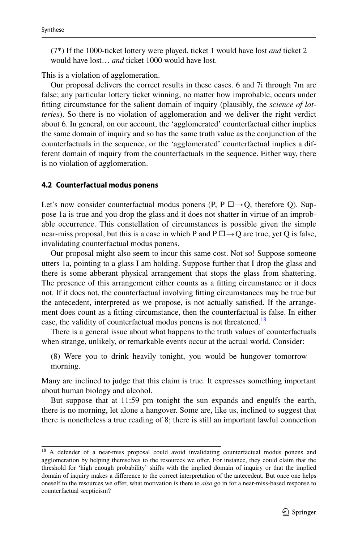(7\*) If the 1000-ticket lottery were played, ticket 1 would have lost *and* ticket 2 would have lost… *and* ticket 1000 would have lost.

This is a violation of agglomeration.

Our proposal delivers the correct results in these cases. 6 and 7i through 7m are false; any particular lottery ticket winning, no matter how improbable, occurs under ftting circumstance for the salient domain of inquiry (plausibly, the *science of lotteries*). So there is no violation of agglomeration and we deliver the right verdict about 6. In general, on our account, the 'agglomerated' counterfactual either implies the same domain of inquiry and so has the same truth value as the conjunction of the counterfactuals in the sequence, or the 'agglomerated' counterfactual implies a different domain of inquiry from the counterfactuals in the sequence. Either way, there is no violation of agglomeration.

#### **4.2 Counterfactual modus ponens**

Let's now consider counterfactual modus ponens (P, P  $\Box \rightarrow Q$ , therefore Q). Suppose 1a is true and you drop the glass and it does not shatter in virtue of an improbable occurrence. This constellation of circumstances is possible given the simple near-miss proposal, but this is a case in which P and  $P \Box \rightarrow Q$  are true, yet Q is false, invalidating counterfactual modus ponens.

Our proposal might also seem to incur this same cost. Not so! Suppose someone utters 1a, pointing to a glass I am holding. Suppose further that I drop the glass and there is some abberant physical arrangement that stops the glass from shattering. The presence of this arrangement either counts as a ftting circumstance or it does not. If it does not, the counterfactual involving ftting circumstances may be true but the antecedent, interpreted as we propose, is not actually satisfed. If the arrangement does count as a ftting circumstance, then the counterfactual is false. In either case, the validity of counterfactual modus ponens is not threatened.<sup>[18](#page-14-0)</sup>

There is a general issue about what happens to the truth values of counterfactuals when strange, unlikely, or remarkable events occur at the actual world. Consider:

(8) Were you to drink heavily tonight, you would be hungover tomorrow morning.

Many are inclined to judge that this claim is true. It expresses something important about human biology and alcohol.

But suppose that at 11:59 pm tonight the sun expands and engulfs the earth, there is no morning, let alone a hangover. Some are, like us, inclined to suggest that there is nonetheless a true reading of 8; there is still an important lawful connection

<span id="page-14-0"></span><sup>&</sup>lt;sup>18</sup> A defender of a near-miss proposal could avoid invalidating counterfactual modus ponens and agglomeration by helping themselves to the resources we ofer. For instance, they could claim that the threshold for 'high enough probability' shifts with the implied domain of inquiry or that the implied domain of inquiry makes a diference to the correct interpretation of the antecedent. But once one helps oneself to the resources we ofer, what motivation is there to *also* go in for a near-miss-based response to counterfactual scepticism?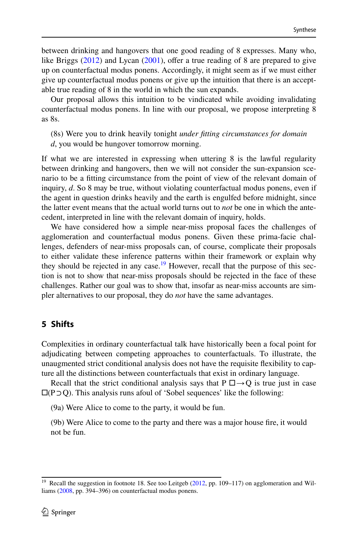between drinking and hangovers that one good reading of 8 expresses. Many who, like Briggs  $(2012)$  $(2012)$  and Lycan  $(2001)$  $(2001)$ , offer a true reading of 8 are prepared to give up on counterfactual modus ponens. Accordingly, it might seem as if we must either give up counterfactual modus ponens or give up the intuition that there is an acceptable true reading of 8 in the world in which the sun expands.

Our proposal allows this intuition to be vindicated while avoiding invalidating counterfactual modus ponens. In line with our proposal, we propose interpreting 8 as 8s.

(8s) Were you to drink heavily tonight *under ftting circumstances for domain d*, you would be hungover tomorrow morning.

If what we are interested in expressing when uttering 8 is the lawful regularity between drinking and hangovers, then we will not consider the sun-expansion scenario to be a ftting circumstance from the point of view of the relevant domain of inquiry, *d*. So 8 may be true, without violating counterfactual modus ponens, even if the agent in question drinks heavily and the earth is engulfed before midnight, since the latter event means that the actual world turns out to *not* be one in which the antecedent, interpreted in line with the relevant domain of inquiry, holds.

We have considered how a simple near-miss proposal faces the challenges of agglomeration and counterfactual modus ponens. Given these prima-facie challenges, defenders of near-miss proposals can, of course, complicate their proposals to either validate these inference patterns within their framework or explain why they should be rejected in any case.<sup>19</sup> However, recall that the purpose of this section is not to show that near-miss proposals should be rejected in the face of these challenges. Rather our goal was to show that, insofar as near-miss accounts are simpler alternatives to our proposal, they do *not* have the same advantages.

### <span id="page-15-0"></span>**5 Shifts**

Complexities in ordinary counterfactual talk have historically been a focal point for adjudicating between competing approaches to counterfactuals. To illustrate, the unaugmented strict conditional analysis does not have the requisite fexibility to capture all the distinctions between counterfactuals that exist in ordinary language.

Recall that the strict conditional analysis says that P  $\Box \rightarrow Q$  is true just in case □(P⊃Q). This analysis runs afoul of 'Sobel sequences' like the following:

(9a) Were Alice to come to the party, it would be fun.

(9b) Were Alice to come to the party and there was a major house fre, it would not be fun.

<span id="page-15-1"></span><sup>&</sup>lt;sup>19</sup> Recall the suggestion in footnote 18. See too Leitgeb [\(2012](#page-20-22), pp. 109–117) on agglomeration and Williams [\(2008](#page-20-21), pp. 394–396) on counterfactual modus ponens.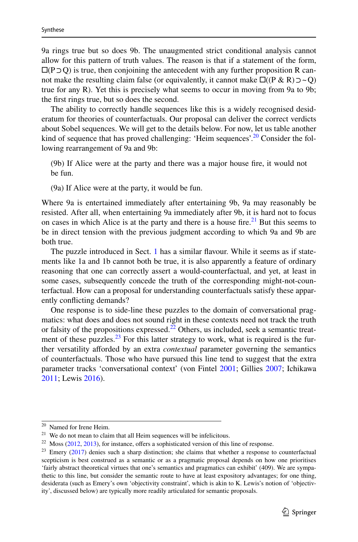9a rings true but so does 9b. The unaugmented strict conditional analysis cannot allow for this pattern of truth values. The reason is that if a statement of the form,  $\Box$ (P $\supset$ Q) is true, then conjoining the antecedent with any further proposition R cannot make the resulting claim false (or equivalently, it cannot make  $\square((P \& R) \supset \sim Q)$ ) true for any R). Yet this is precisely what seems to occur in moving from 9a to 9b; the frst rings true, but so does the second.

The ability to correctly handle sequences like this is a widely recognised desideratum for theories of counterfactuals. Our proposal can deliver the correct verdicts about Sobel sequences. We will get to the details below. For now, let us table another kind of sequence that has proved challenging: 'Heim sequences'.<sup>20</sup> Consider the following rearrangement of 9a and 9b:

(9b) If Alice were at the party and there was a major house fre, it would not be fun.

(9a) If Alice were at the party, it would be fun.

Where 9a is entertained immediately after entertaining 9b, 9a may reasonably be resisted. After all, when entertaining 9a immediately after 9b, it is hard not to focus on cases in which Alice is at the party and there is a house fire.<sup>[21](#page-16-1)</sup> But this seems to be in direct tension with the previous judgment according to which 9a and 9b are both true.

The puzzle introduced in Sect. [1](#page-1-1) has a similar favour. While it seems as if statements like 1a and 1b cannot both be true, it is also apparently a feature of ordinary reasoning that one can correctly assert a would-counterfactual, and yet, at least in some cases, subsequently concede the truth of the corresponding might-not-counterfactual. How can a proposal for understanding counterfactuals satisfy these apparently conficting demands?

One response is to side-line these puzzles to the domain of conversational pragmatics: what does and does not sound right in these contexts need not track the truth or falsity of the propositions expressed.<sup>22</sup> Others, us included, seek a semantic treatment of these puzzles. $^{23}$  For this latter strategy to work, what is required is the further versatility aforded by an extra *contextual* parameter governing the semantics of counterfactuals. Those who have pursued this line tend to suggest that the extra parameter tracks 'conversational context' (von Fintel [2001;](#page-20-24) Gillies [2007](#page-19-5); Ichikawa [2011](#page-20-25); Lewis [2016](#page-20-1)).

<span id="page-16-0"></span><sup>20</sup> Named for Irene Heim.

<span id="page-16-1"></span> $21$  We do not mean to claim that all Heim sequences will be infelicitous.

<span id="page-16-2"></span> $22$  Moss ([2012,](#page-20-26) [2013\)](#page-20-10), for instance, offers a sophisticated version of this line of response.

<span id="page-16-3"></span><sup>&</sup>lt;sup>23</sup> Emery ([2017\)](#page-19-6) denies such a sharp distinction; she claims that whether a response to counterfactual scepticism is best construed as a semantic or as a pragmatic proposal depends on how one prioritises 'fairly abstract theoretical virtues that one's semantics and pragmatics can exhibit' (409). We are sympathetic to this line, but consider the semantic route to have at least expository advantages; for one thing, desiderata (such as Emery's own 'objectivity constraint', which is akin to K. Lewis's notion of 'objectivity', discussed below) are typically more readily articulated for semantic proposals.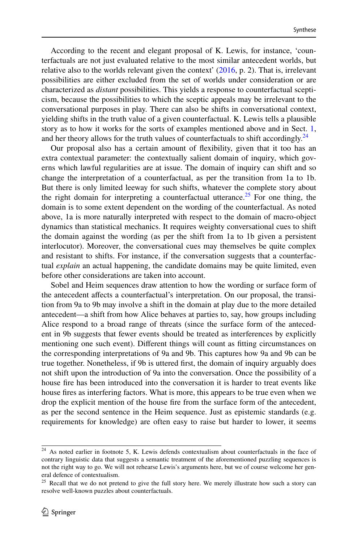According to the recent and elegant proposal of K. Lewis, for instance, 'counterfactuals are not just evaluated relative to the most similar antecedent worlds, but relative also to the worlds relevant given the context'  $(2016, p. 2)$  $(2016, p. 2)$  $(2016, p. 2)$ . That is, irrelevant possibilities are either excluded from the set of worlds under consideration or are characterized as *distant* possibilities. This yields a response to counterfactual scepticism, because the possibilities to which the sceptic appeals may be irrelevant to the conversational purposes in play. There can also be shifts in conversational context, yielding shifts in the truth value of a given counterfactual. K. Lewis tells a plausible story as to how it works for the sorts of examples mentioned above and in Sect. [1,](#page-1-1) and her theory allows for the truth values of counterfactuals to shift accordingly.<sup>[24](#page-17-0)</sup>

Our proposal also has a certain amount of fexibility, given that it too has an extra contextual parameter: the contextually salient domain of inquiry, which governs which lawful regularities are at issue. The domain of inquiry can shift and so change the interpretation of a counterfactual, as per the transition from 1a to 1b. But there is only limited leeway for such shifts, whatever the complete story about the right domain for interpreting a counterfactual utterance.<sup>25</sup> For one thing, the domain is to some extent dependent on the wording of the counterfactual. As noted above, 1a is more naturally interpreted with respect to the domain of macro-object dynamics than statistical mechanics. It requires weighty conversational cues to shift the domain against the wording (as per the shift from 1a to 1b given a persistent interlocutor). Moreover, the conversational cues may themselves be quite complex and resistant to shifts. For instance, if the conversation suggests that a counterfactual *explain* an actual happening, the candidate domains may be quite limited, even before other considerations are taken into account.

Sobel and Heim sequences draw attention to how the wording or surface form of the antecedent afects a counterfactual's interpretation. On our proposal, the transition from 9a to 9b may involve a shift in the domain at play due to the more detailed antecedent—a shift from how Alice behaves at parties to, say, how groups including Alice respond to a broad range of threats (since the surface form of the antecedent in 9b suggests that fewer events should be treated as interferences by explicitly mentioning one such event). Diferent things will count as ftting circumstances on the corresponding interpretations of 9a and 9b. This captures how 9a and 9b can be true together. Nonetheless, if 9b is uttered frst, the domain of inquiry arguably does not shift upon the introduction of 9a into the conversation. Once the possibility of a house fre has been introduced into the conversation it is harder to treat events like house fres as interfering factors. What is more, this appears to be true even when we drop the explicit mention of the house fre from the surface form of the antecedent, as per the second sentence in the Heim sequence. Just as epistemic standards (e.g. requirements for knowledge) are often easy to raise but harder to lower, it seems

<span id="page-17-0"></span><sup>&</sup>lt;sup>24</sup> As noted earlier in footnote 5, K. Lewis defends contextualism about counterfactuals in the face of contrary linguistic data that suggests a semantic treatment of the aforementioned puzzling sequences is not the right way to go. We will not rehearse Lewis's arguments here, but we of course welcome her general defence of contextualism.

<span id="page-17-1"></span><sup>&</sup>lt;sup>25</sup> Recall that we do not pretend to give the full story here. We merely illustrate how such a story can resolve well-known puzzles about counterfactuals.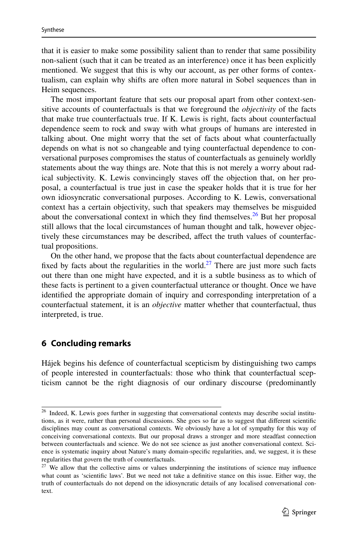that it is easier to make some possibility salient than to render that same possibility non-salient (such that it can be treated as an interference) once it has been explicitly mentioned. We suggest that this is why our account, as per other forms of contextualism, can explain why shifts are often more natural in Sobel sequences than in Heim sequences.

The most important feature that sets our proposal apart from other context-sensitive accounts of counterfactuals is that we foreground the *objectivity* of the facts that make true counterfactuals true. If K. Lewis is right, facts about counterfactual dependence seem to rock and sway with what groups of humans are interested in talking about. One might worry that the set of facts about what counterfactually depends on what is not so changeable and tying counterfactual dependence to conversational purposes compromises the status of counterfactuals as genuinely worldly statements about the way things are. Note that this is not merely a worry about radical subjectivity. K. Lewis convincingly staves off the objection that, on her proposal, a counterfactual is true just in case the speaker holds that it is true for her own idiosyncratic conversational purposes. According to K. Lewis, conversational context has a certain objectivity, such that speakers may themselves be misguided about the conversational context in which they find themselves.<sup>26</sup> But her proposal still allows that the local circumstances of human thought and talk, however objectively these circumstances may be described, affect the truth values of counterfactual propositions.

On the other hand, we propose that the facts about counterfactual dependence are fixed by facts about the regularities in the world.<sup>27</sup> There are just more such facts out there than one might have expected, and it is a subtle business as to which of these facts is pertinent to a given counterfactual utterance or thought. Once we have identifed the appropriate domain of inquiry and corresponding interpretation of a counterfactual statement, it is an *objective* matter whether that counterfactual, thus interpreted, is true.

### **6 Concluding remarks**

Hájek begins his defence of counterfactual scepticism by distinguishing two camps of people interested in counterfactuals: those who think that counterfactual scepticism cannot be the right diagnosis of our ordinary discourse (predominantly

<span id="page-18-0"></span><sup>&</sup>lt;sup>26</sup> Indeed, K. Lewis goes further in suggesting that conversational contexts may describe social institutions, as it were, rather than personal discussions. She goes so far as to suggest that diferent scientifc disciplines may count as conversational contexts. We obviously have a lot of sympathy for this way of conceiving conversational contexts. But our proposal draws a stronger and more steadfast connection between counterfactuals and science. We do not see science as just another conversational context. Science is systematic inquiry about Nature's many domain-specifc regularities, and, we suggest, it is these regularities that govern the truth of counterfactuals.

<span id="page-18-1"></span> $27$  We allow that the collective aims or values underpinning the institutions of science may influence what count as 'scientifc laws'. But we need not take a defnitive stance on this issue. Either way, the truth of counterfactuals do not depend on the idiosyncratic details of any localised conversational context.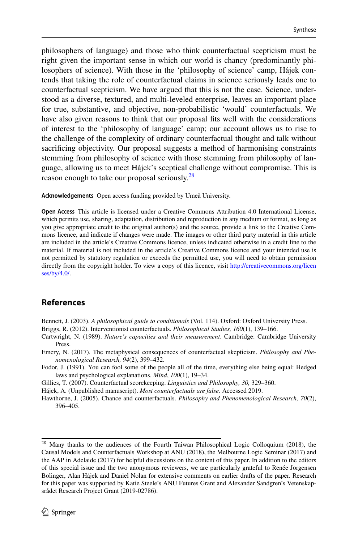philosophers of language) and those who think counterfactual scepticism must be right given the important sense in which our world is chancy (predominantly philosophers of science). With those in the 'philosophy of science' camp, Hájek contends that taking the role of counterfactual claims in science seriously leads one to counterfactual scepticism. We have argued that this is not the case. Science, understood as a diverse, textured, and multi-leveled enterprise, leaves an important place for true, substantive, and objective, non-probabilistic 'would' counterfactuals. We have also given reasons to think that our proposal fts well with the considerations of interest to the 'philosophy of language' camp; our account allows us to rise to the challenge of the complexity of ordinary counterfactual thought and talk without sacrifcing objectivity. Our proposal suggests a method of harmonising constraints stemming from philosophy of science with those stemming from philosophy of language, allowing us to meet Hájek's sceptical challenge without compromise. This is reason enough to take our proposal seriously.<sup>[28](#page-19-7)</sup>

**Acknowledgements** Open access funding provided by Umeå University.

**Open Access** This article is licensed under a Creative Commons Attribution 4.0 International License, which permits use, sharing, adaptation, distribution and reproduction in any medium or format, as long as you give appropriate credit to the original author(s) and the source, provide a link to the Creative Commons licence, and indicate if changes were made. The images or other third party material in this article are included in the article's Creative Commons licence, unless indicated otherwise in a credit line to the material. If material is not included in the article's Creative Commons licence and your intended use is not permitted by statutory regulation or exceeds the permitted use, you will need to obtain permission directly from the copyright holder. To view a copy of this licence, visit [http://creativecommons.org/licen](http://creativecommons.org/licenses/by/4.0/) [ses/by/4.0/](http://creativecommons.org/licenses/by/4.0/).

## **References**

<span id="page-19-4"></span>Bennett, J. (2003). *A philosophical guide to conditionals* (Vol. 114). Oxford: Oxford University Press.

<span id="page-19-0"></span>Briggs, R. (2012). Interventionist counterfactuals. *Philosophical Studies, 160*(1), 139–166.

<span id="page-19-3"></span>Cartwright, N. (1989). *Nature's capacities and their measurement*. Cambridge: Cambridge University Press.

<span id="page-19-6"></span>Emery, N. (2017). The metaphysical consequences of counterfactual skepticism. *Philosophy and Phenomenological Research, 94*(2), 399–432.

<span id="page-19-2"></span>Fodor, J. (1991). You can fool some of the people all of the time, everything else being equal: Hedged laws and psychological explanations. *Mind*, *100*(1), 19–34.

<span id="page-19-5"></span>Gillies, T. (2007). Counterfactual scorekeeping. *Linguistics and Philosophy, 30,* 329–360.

Hájek, A. (Unpublished manuscript). *Most counterfactuals are false*. Accessed 2019.

<span id="page-19-1"></span>Hawthorne, J. (2005). Chance and counterfactuals. *Philosophy and Phenomenological Research, 70*(2), 396–405.

<span id="page-19-7"></span><sup>&</sup>lt;sup>28</sup> Many thanks to the audiences of the Fourth Taiwan Philosophical Logic Colloquium (2018), the Causal Models and Counterfactuals Workshop at ANU (2018), the Melbourne Logic Seminar (2017) and the AAP in Adelaide (2017) for helpful discussions on the content of this paper. In addition to the editors of this special issue and the two anonymous reviewers, we are particularly grateful to Renée Jorgensen Bolinger, Alan Hájek and Daniel Nolan for extensive comments on earlier drafts of the paper. Research for this paper was supported by Katie Steele's ANU Futures Grant and Alexander Sandgren's Vetenskapsrådet Research Project Grant (2019-02786).